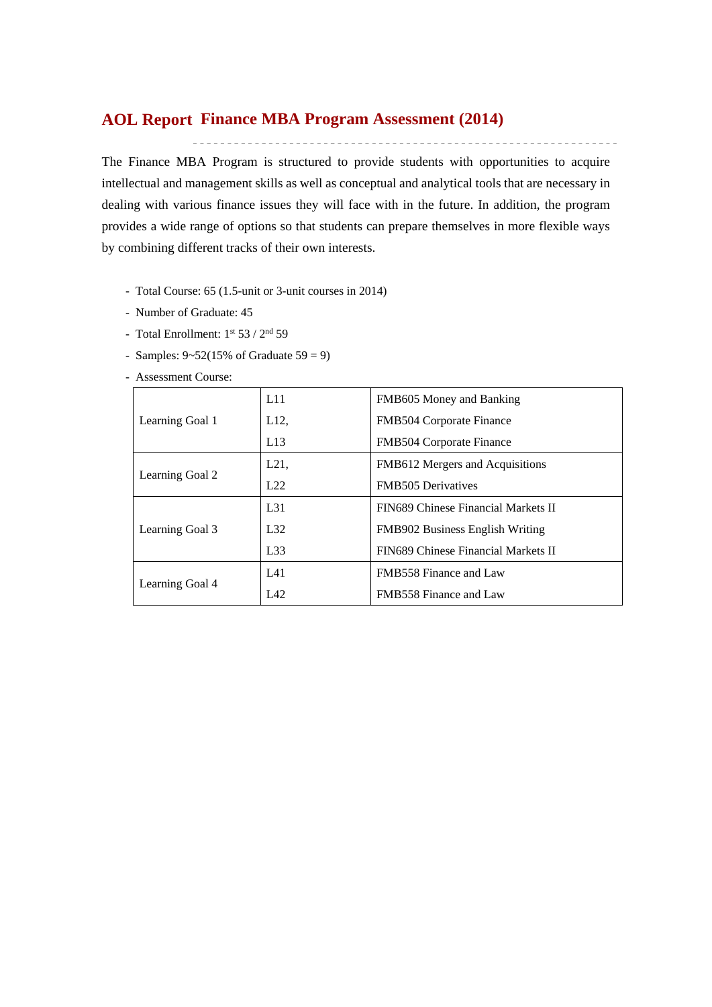# **Finance MBA Program Assessment (2014) AOL Report**

The Finance MBA Program is structured to provide students with opportunities to acquire intellectual and management skills as well as conceptual and analytical tools that are necessary in dealing with various finance issues they will face with in the future. In addition, the program provides a wide range of options so that students can prepare themselves in more flexible ways by combining different tracks of their own interests.

- Total Course: 65 (1.5-unit or 3-unit courses in 2014)
- Number of Graduate: 45
- Total Enrollment:  $1^{st}$  53 /  $2^{nd}$  59
- Samples:  $9 52(15\% \text{ of } \text{Graduate } 59 = 9)$
- Assessment Course:

|                 | L11             | FMB605 Money and Banking               |
|-----------------|-----------------|----------------------------------------|
| Learning Goal 1 | L12,            | <b>FMB504 Corporate Finance</b>        |
|                 | L13             | FMB504 Corporate Finance               |
|                 | L21,            | FMB612 Mergers and Acquisitions        |
| Learning Goal 2 | L22             | <b>FMB505</b> Derivatives              |
|                 | L <sub>31</sub> | FIN689 Chinese Financial Markets II    |
| Learning Goal 3 | L32             | <b>FMB902 Business English Writing</b> |
|                 | L33             | FIN689 Chinese Financial Markets II    |
|                 | L41             | <b>FMB558 Finance and Law</b>          |
| Learning Goal 4 | IA2             | <b>FMB558 Finance and Law</b>          |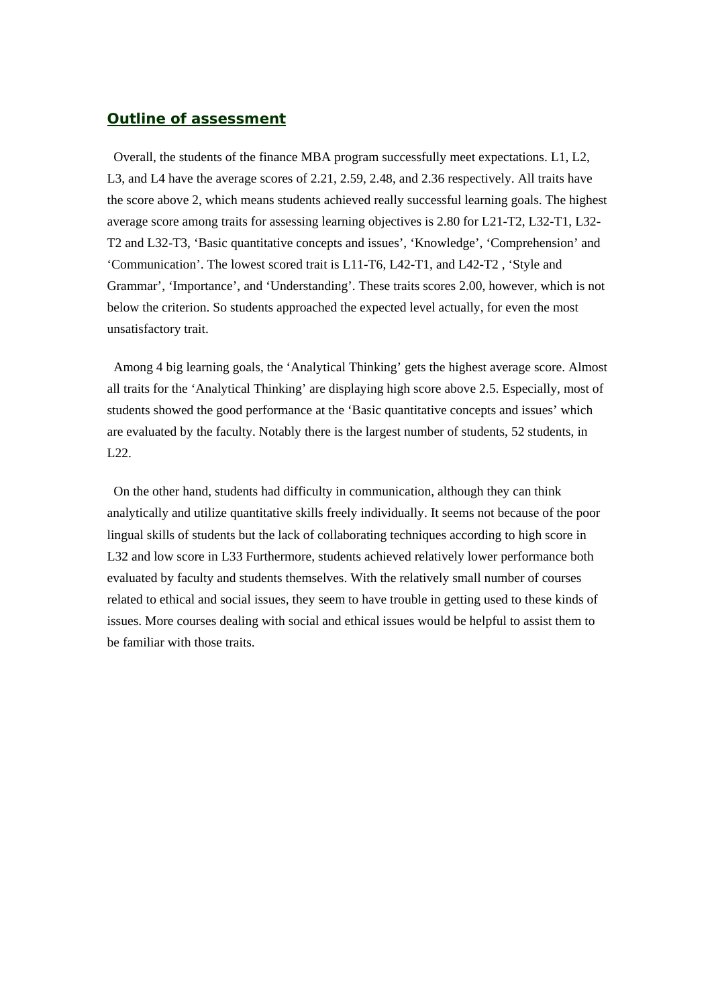#### *Outline of assessment*

 Overall, the students of the finance MBA program successfully meet expectations. L1, L2, L3, and L4 have the average scores of 2.21, 2.59, 2.48, and 2.36 respectively. All traits have the score above 2, which means students achieved really successful learning goals. The highest average score among traits for assessing learning objectives is 2.80 for L21-T2, L32-T1, L32- T2 and L32-T3, 'Basic quantitative concepts and issues', 'Knowledge', 'Comprehension' and 'Communication'. The lowest scored trait is L11-T6, L42-T1, and L42-T2 , 'Style and Grammar', 'Importance', and 'Understanding'. These traits scores 2.00, however, which is not below the criterion. So students approached the expected level actually, for even the most unsatisfactory trait.

 Among 4 big learning goals, the 'Analytical Thinking' gets the highest average score. Almost all traits for the 'Analytical Thinking' are displaying high score above 2.5. Especially, most of students showed the good performance at the 'Basic quantitative concepts and issues' which are evaluated by the faculty. Notably there is the largest number of students, 52 students, in L22.

 On the other hand, students had difficulty in communication, although they can think analytically and utilize quantitative skills freely individually. It seems not because of the poor lingual skills of students but the lack of collaborating techniques according to high score in L32 and low score in L33 Furthermore, students achieved relatively lower performance both evaluated by faculty and students themselves. With the relatively small number of courses related to ethical and social issues, they seem to have trouble in getting used to these kinds of issues. More courses dealing with social and ethical issues would be helpful to assist them to be familiar with those traits.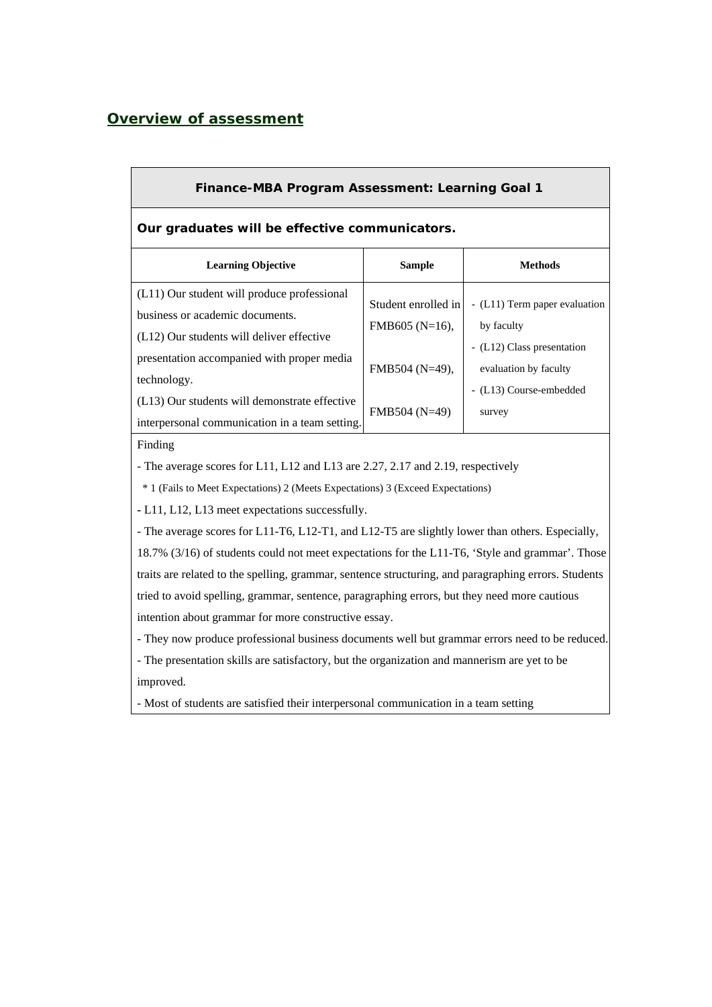## *Overview of assessment*

| <b>Finance-MBA Program Assessment: Learning Goal 1</b>                                                                                                                                                                                      |                                                                               |                                                                                                                                         |  |  |  |  |  |  |  |
|---------------------------------------------------------------------------------------------------------------------------------------------------------------------------------------------------------------------------------------------|-------------------------------------------------------------------------------|-----------------------------------------------------------------------------------------------------------------------------------------|--|--|--|--|--|--|--|
| Our graduates will be effective communicators.                                                                                                                                                                                              |                                                                               |                                                                                                                                         |  |  |  |  |  |  |  |
| <b>Learning Objective</b>                                                                                                                                                                                                                   | <b>Sample</b>                                                                 | <b>Methods</b>                                                                                                                          |  |  |  |  |  |  |  |
| (L11) Our student will produce professional<br>business or academic documents.<br>(L12) Our students will deliver effective<br>presentation accompanied with proper media<br>technology.<br>$(L13)$ Our students will demonstrate effective | Student enrolled in<br>FMB605 (N=16),<br>FMB504 $(N=49)$ ,<br>$FMB504 (N=49)$ | - (L11) Term paper evaluation<br>by faculty<br>- (L12) Class presentation<br>evaluation by faculty<br>- (L13) Course-embedded<br>survey |  |  |  |  |  |  |  |
| interpersonal communication in a team setting.<br>Finding                                                                                                                                                                                   |                                                                               |                                                                                                                                         |  |  |  |  |  |  |  |

- The average scores for L11, L12 and L13 are 2.27, 2.17 and 2.19, respectively

\* 1 (Fails to Meet Expectations) 2 (Meets Expectations) 3 (Exceed Expectations)

**-** L11, L12, L13 meet expectations successfully.

- The average scores for L11-T6, L12-T1, and L12-T5 are slightly lower than others. Especially, 18.7% (3/16) of students could not meet expectations for the L11-T6, 'Style and grammar'. Those traits are related to the spelling, grammar, sentence structuring, and paragraphing errors. Students tried to avoid spelling, grammar, sentence, paragraphing errors, but they need more cautious intention about grammar for more constructive essay.

- They now produce professional business documents well but grammar errors need to be reduced.

- The presentation skills are satisfactory, but the organization and mannerism are yet to be improved.

- Most of students are satisfied their interpersonal communication in a team setting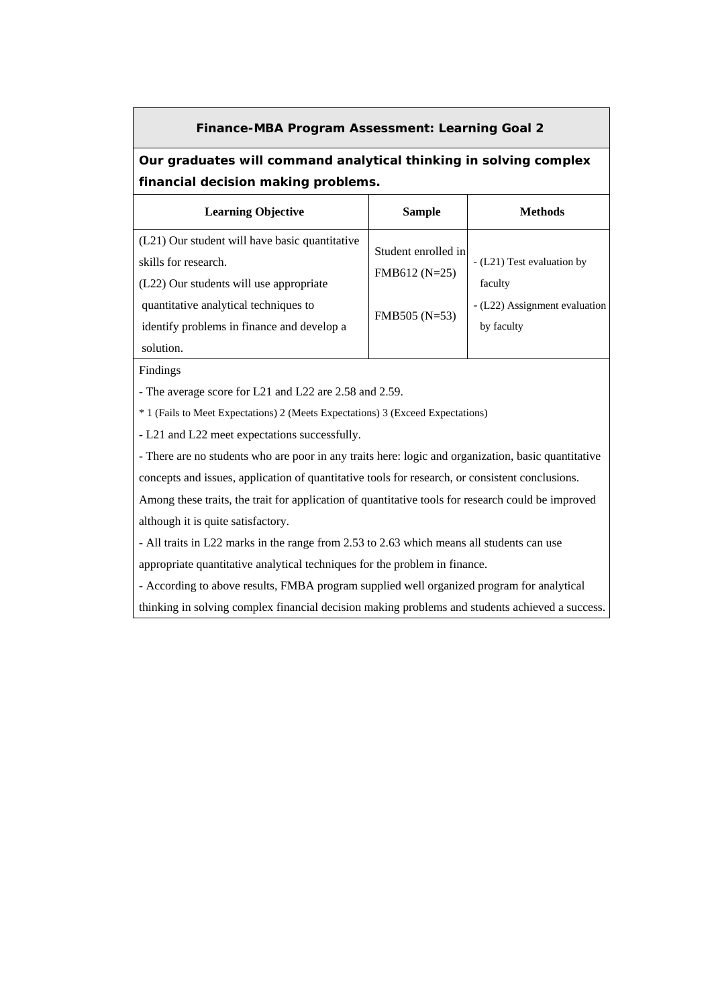#### **Finance-MBA Program Assessment: Learning Goal 2**

# **Our graduates will command analytical thinking in solving complex financial decision making problems.**

| <b>Learning Objective</b>                                                                                         | Sample                                | <b>Methods</b>                              |
|-------------------------------------------------------------------------------------------------------------------|---------------------------------------|---------------------------------------------|
| (L21) Our student will have basic quantitative<br>skills for research.<br>(L22) Our students will use appropriate | Student enrolled in<br>$FMB612(N=25)$ | - (L21) Test evaluation by<br>faculty       |
| quantitative analytical techniques to<br>identify problems in finance and develop a<br>solution.                  | $FMB505 (N=53)$                       | - (L22) Assignment evaluation<br>by faculty |

Findings

- The average score for L21 and L22 are 2.58 and 2.59.

\* 1 (Fails to Meet Expectations) 2 (Meets Expectations) 3 (Exceed Expectations)

**-** L21 and L22 meet expectations successfully.

- There are no students who are poor in any traits here: logic and organization, basic quantitative concepts and issues, application of quantitative tools for research, or consistent conclusions.

Among these traits, the trait for application of quantitative tools for research could be improved although it is quite satisfactory.

- All traits in L22 marks in the range from 2.53 to 2.63 which means all students can use

appropriate quantitative analytical techniques for the problem in finance.

- According to above results, FMBA program supplied well organized program for analytical

thinking in solving complex financial decision making problems and students achieved a success.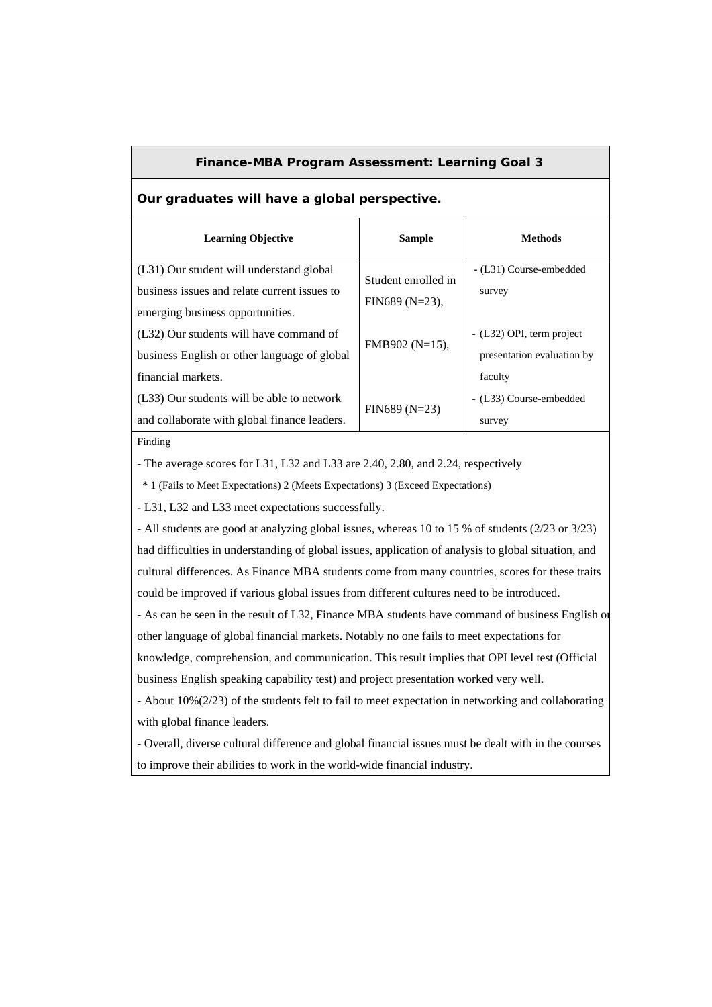#### **Finance-MBA Program Assessment: Learning Goal 3**

**Our graduates will have a global perspective.** 

| <b>Learning Objective</b>                    | <b>Sample</b>       | Methods                    |
|----------------------------------------------|---------------------|----------------------------|
| (L31) Our student will understand global     | Student enrolled in | - (L31) Course-embedded    |
| business issues and relate current issues to |                     | survey                     |
| emerging business opportunities.             | FIN689 $(N=23)$ ,   |                            |
| (L32) Our students will have command of      |                     | - (L32) OPI, term project  |
| business English or other language of global | FMB902 (N=15),      | presentation evaluation by |
| financial markets.                           |                     | faculty                    |
| (L33) Our students will be able to network   |                     | - (L33) Course-embedded    |
| and collaborate with global finance leaders. | $FIN689(N=23)$      | survey                     |

#### Finding

- The average scores for L31, L32 and L33 are 2.40, 2.80, and 2.24, respectively

\* 1 (Fails to Meet Expectations) 2 (Meets Expectations) 3 (Exceed Expectations)

**-** L31, L32 and L33 meet expectations successfully.

- All students are good at analyzing global issues, whereas 10 to 15 % of students (2/23 or 3/23) had difficulties in understanding of global issues, application of analysis to global situation, and cultural differences. As Finance MBA students come from many countries, scores for these traits could be improved if various global issues from different cultures need to be introduced.

- As can be seen in the result of L32, Finance MBA students have command of business English or other language of global financial markets. Notably no one fails to meet expectations for knowledge, comprehension, and communication. This result implies that OPI level test (Official business English speaking capability test) and project presentation worked very well.

- About 10%(2/23) of the students felt to fail to meet expectation in networking and collaborating with global finance leaders.

- Overall, diverse cultural difference and global financial issues must be dealt with in the courses to improve their abilities to work in the world-wide financial industry.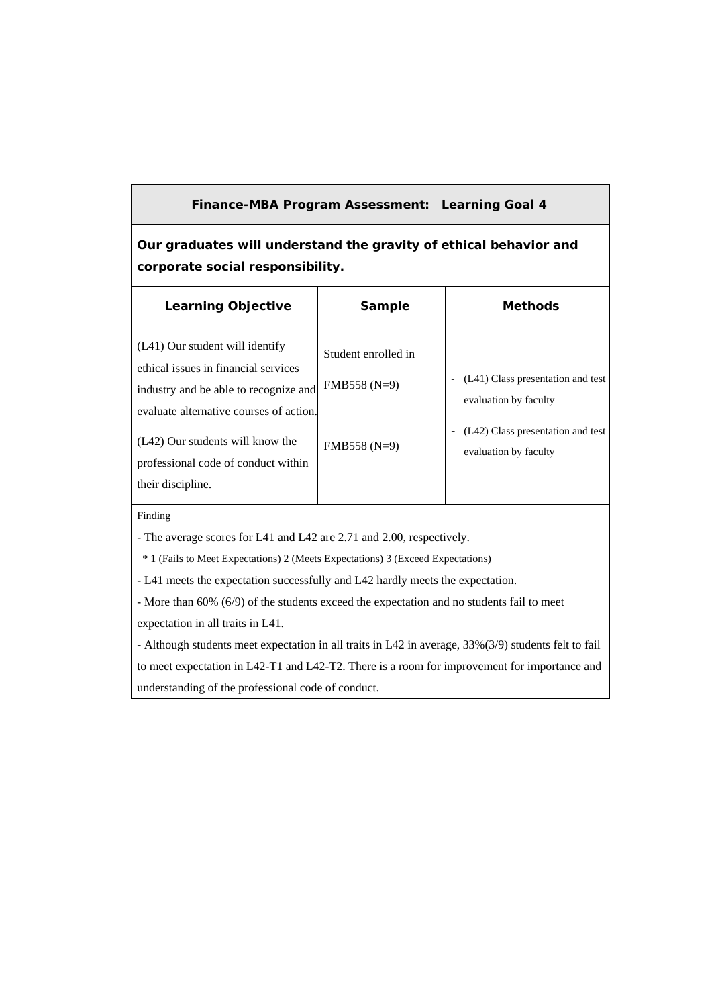### **Finance-MBA Program Assessment: Learning Goal 4**

**Our graduates will understand the gravity of ethical behavior and corporate social responsibility.** 

| <b>Learning Objective</b>                                                                                                                                                                                                                                   | Sample                                                | <b>Methods</b>                                                                                                           |
|-------------------------------------------------------------------------------------------------------------------------------------------------------------------------------------------------------------------------------------------------------------|-------------------------------------------------------|--------------------------------------------------------------------------------------------------------------------------|
| (L41) Our student will identify<br>ethical issues in financial services<br>industry and be able to recognize and<br>evaluate alternative courses of action.<br>(L42) Our students will know the<br>professional code of conduct within<br>their discipline. | Student enrolled in<br>$FMB558(N=9)$<br>$FMB558(N=9)$ | (L41) Class presentation and test<br>evaluation by faculty<br>(L42) Class presentation and test<br>evaluation by faculty |

Finding

- The average scores for L41 and L42 are 2.71 and 2.00, respectively.

\* 1 (Fails to Meet Expectations) 2 (Meets Expectations) 3 (Exceed Expectations)

**-** L41 meets the expectation successfully and L42 hardly meets the expectation.

- More than 60% (6/9) of the students exceed the expectation and no students fail to meet expectation in all traits in L41.

- Although students meet expectation in all traits in L42 in average, 33%(3/9) students felt to fail to meet expectation in L42-T1 and L42-T2. There is a room for improvement for importance and understanding of the professional code of conduct.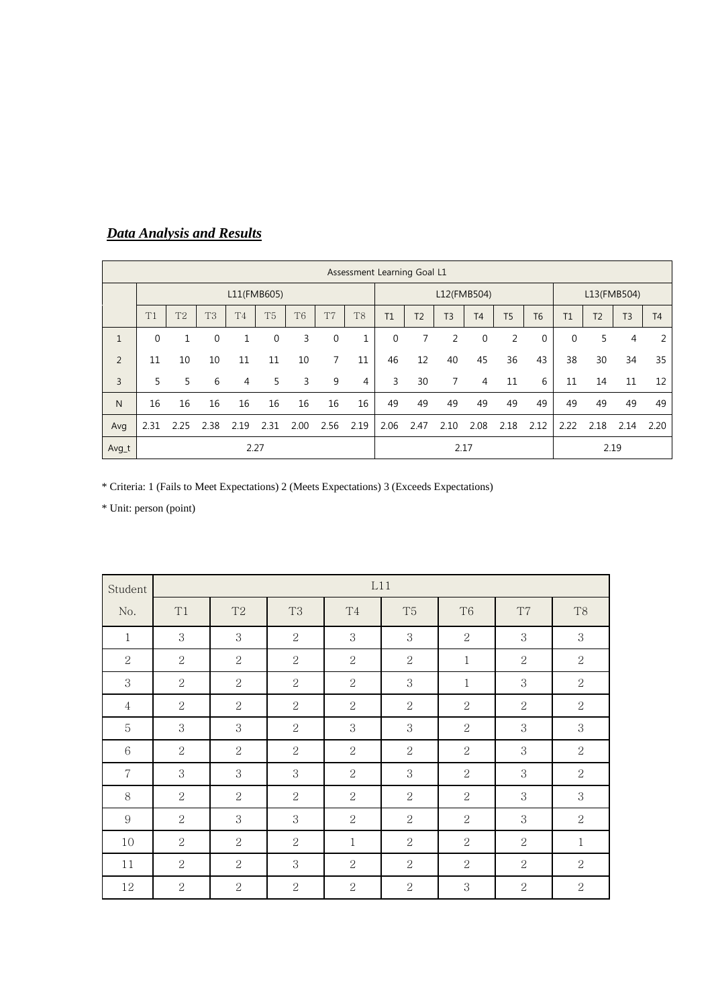|                | Assessment Learning Goal L1 |                |                |                |                |                |                |                |      |                |                |                |                |                |          |                |                |                |
|----------------|-----------------------------|----------------|----------------|----------------|----------------|----------------|----------------|----------------|------|----------------|----------------|----------------|----------------|----------------|----------|----------------|----------------|----------------|
|                |                             |                |                |                | L11(FMB605)    |                |                |                |      |                |                | L12(FMB504)    |                |                |          |                | L13(FMB504)    |                |
|                | T1                          | T <sub>2</sub> | T <sub>3</sub> | T <sub>4</sub> | T <sub>5</sub> | T <sub>6</sub> | T <sub>7</sub> | T <sub>8</sub> | T1   | T <sub>2</sub> | T <sub>3</sub> | T <sub>4</sub> | <b>T5</b>      | T <sub>6</sub> | T1       | T <sub>2</sub> | T <sub>3</sub> | T <sub>4</sub> |
| $\mathbf{1}$   | $\Omega$                    |                | $\Omega$       |                | $\Omega$       | 3              | $\mathbf 0$    | 1              | 0    | 7              | 2              | $\mathbf 0$    | $\overline{2}$ | 0              | $\Omega$ | 5              | 4              | 2              |
| $\overline{2}$ | 11                          | 10             | 10             | 11             | 11             | 10             | $\overline{7}$ | 11             | 46   | 12             | 40             | 45             | 36             | 43             | 38       | 30             | 34             | 35             |
| 3              | 5                           | 5              | 6              | 4              | 5.             | 3              | 9              | 4              | 3    | 30             | 7              | 4              | 11             | 6              | 11       | 14             | 11             | 12             |
| N              | 16                          | 16             | 16             | 16             | 16             | 16             | 16             | 16             | 49   | 49             | 49             | 49             | 49             | 49             | 49       | 49             | 49             | 49             |
| Avg            | 2.31                        | 2.25           | 2.38           | 2.19           | 2.31           | 2.00           | 2.56           | 2.19           | 2.06 | 2.47           | 2.10           | 2.08           | 2.18           | 2.12           | 2.22     | 2.18           | 2.14           | 2.20           |
| Avg_t          |                             |                |                |                | 2.27           |                |                |                |      |                |                | 2.17           |                |                |          |                | 2.19           |                |

# *Data Analysis and Results*

\* Criteria: 1 (Fails to Meet Expectations) 2 (Meets Expectations) 3 (Exceeds Expectations)

| Student        |                | L11            |                |                |                |                |                |                |  |  |
|----------------|----------------|----------------|----------------|----------------|----------------|----------------|----------------|----------------|--|--|
| No.            | T1             | T <sub>2</sub> | T <sub>3</sub> | <b>T4</b>      | T <sub>5</sub> | T <sub>6</sub> | T7             | T <sub>8</sub> |  |  |
| $\mathbf{1}$   | 3              | 3              | 2              | 3              | 3              | $\overline{2}$ | 3              | 3              |  |  |
| $\mathbf{2}$   | $\overline{2}$ | $\sqrt{2}$     | $\overline{2}$ | $\sqrt{2}$     | $\overline{2}$ | $\mathbf{1}$   | $\overline{2}$ | $\sqrt{2}$     |  |  |
| 3              | $\overline{2}$ | $\sqrt{2}$     | $\overline{2}$ | $\overline{2}$ | 3              | $\mathbf{1}$   | $\,3$          | $\overline{2}$ |  |  |
| $\overline{4}$ | $\overline{2}$ | $\overline{2}$ | $\overline{2}$ | $\overline{2}$ | 2              | $\overline{2}$ | $\overline{2}$ | $\overline{2}$ |  |  |
| $\mathbf 5$    | 3              | 3              | 2              | 3              | 3              | $\overline{2}$ | 3              | $\,3$          |  |  |
| 6              | $\overline{2}$ | $\overline{2}$ | $\overline{2}$ | $\overline{2}$ | $\overline{2}$ | $\overline{2}$ | 3              | $\overline{2}$ |  |  |
| $\overline{7}$ | 3              | 3              | 3              | $\overline{2}$ | 3              | $\mathbf{2}$   | 3              | $\overline{2}$ |  |  |
| 8              | $\overline{2}$ | $\overline{2}$ | 2              | $\overline{2}$ | 2              | $\overline{2}$ | 3              | 3              |  |  |
| 9              | $\overline{2}$ | 3              | 3              | 2              | 2              | $\overline{2}$ | 3              | $\overline{2}$ |  |  |
| 10             | $\overline{2}$ | 2              | 2              | $\mathbf{1}$   | 2              | $\overline{2}$ | 2              | $\mathbf{1}$   |  |  |
| 11             | $\overline{2}$ | $\overline{2}$ | 3              | $\overline{2}$ | $\overline{2}$ | $\overline{2}$ | $\overline{2}$ | $\overline{2}$ |  |  |
| 12             | $\overline{2}$ | $\overline{2}$ | $\overline{2}$ | $\overline{2}$ | $\overline{2}$ | 3              | $\overline{2}$ | $\overline{2}$ |  |  |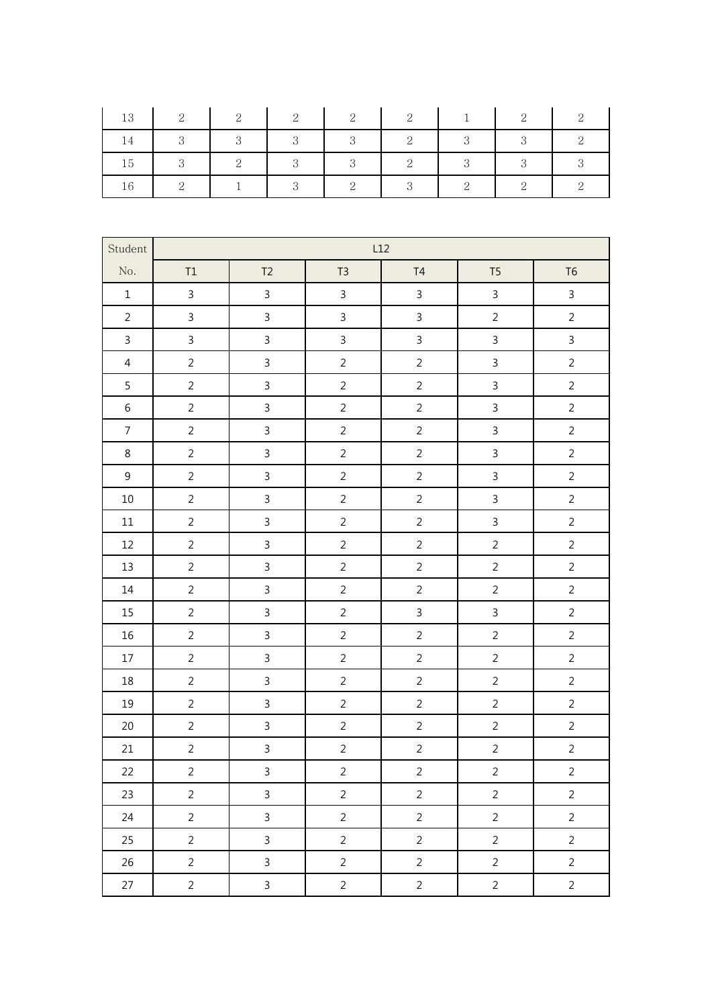| 13 | -2            | $\overline{2}$             | - 2                        | $\overline{2}$ | 2              | $\blacksquare$          | 2            | $\Omega$ |
|----|---------------|----------------------------|----------------------------|----------------|----------------|-------------------------|--------------|----------|
|    | $\mathcal{S}$ | $\overline{\phantom{a}}$ 3 | $\overline{\phantom{a}}$ 3 | 3              | 2              | $\overline{\mathbf{3}}$ | $\mathbf{R}$ |          |
| 15 | - 3           | $\overline{2}$             | $\overline{3}$             | 3              | $\overline{2}$ | $\mathcal{R}$           |              |          |
|    |               |                            |                            | $\overline{2}$ | - 3            |                         |              |          |

| Student        | L12            |                |                |                |                |                |  |  |  |
|----------------|----------------|----------------|----------------|----------------|----------------|----------------|--|--|--|
| No.            | $\mathsf{T1}$  | T <sub>2</sub> | T <sub>3</sub> | T4             | T <sub>5</sub> | T <sub>6</sub> |  |  |  |
| $\mathbf 1$    | $\overline{3}$ | $\overline{3}$ | $\mathsf{3}$   | $\mathsf{3}$   | $\overline{3}$ | $\overline{3}$ |  |  |  |
| $\overline{2}$ | $\overline{3}$ | $\overline{3}$ | $\overline{3}$ | $\overline{3}$ | $\overline{2}$ | $\overline{2}$ |  |  |  |
| $\overline{3}$ | $\mathsf{3}$   | $\overline{3}$ | $\mathsf{3}$   | $\mathsf{3}$   | $\overline{3}$ | $\overline{3}$ |  |  |  |
| $\overline{4}$ | $\overline{2}$ | $\overline{3}$ | $\overline{2}$ | $\overline{2}$ | $\overline{3}$ | $\overline{2}$ |  |  |  |
| 5              | $\overline{2}$ | $\overline{3}$ | $\overline{2}$ | $\overline{2}$ | $\overline{3}$ | $\overline{2}$ |  |  |  |
| $\,$ 6 $\,$    | $\overline{2}$ | $\mathsf{3}$   | $\overline{2}$ | $\overline{2}$ | $\mathbf{3}$   | $\overline{2}$ |  |  |  |
| $\overline{7}$ | $\overline{2}$ | $\overline{3}$ | $\overline{2}$ | $\overline{2}$ | $\mathsf{3}$   | $\overline{2}$ |  |  |  |
| 8              | $\overline{2}$ | $\overline{3}$ | $\overline{2}$ | $\overline{2}$ | $\mathsf{3}$   | $\overline{2}$ |  |  |  |
| $\mathsf 9$    | $\overline{2}$ | $\overline{3}$ | $\overline{2}$ | $\overline{2}$ | $\overline{3}$ | $\overline{2}$ |  |  |  |
| $10\,$         | $\overline{2}$ | $\overline{3}$ | $\overline{2}$ | $\overline{2}$ | $\mathsf{3}$   | $\overline{2}$ |  |  |  |
| $11\,$         | $\overline{2}$ | $\overline{3}$ | $\overline{2}$ | $\overline{2}$ | $\overline{3}$ | $\overline{2}$ |  |  |  |
| 12             | $\overline{2}$ | $\mathbf{3}$   | $\overline{2}$ | $\overline{2}$ | $\overline{2}$ | $\overline{2}$ |  |  |  |
| 13             | $\overline{2}$ | $\overline{3}$ | $\overline{2}$ | $\overline{2}$ | $\overline{2}$ | $\overline{2}$ |  |  |  |
| $14\,$         | $\overline{2}$ | $\overline{3}$ | $\overline{2}$ | $\overline{2}$ | $\overline{2}$ | $\overline{2}$ |  |  |  |
| 15             | $\overline{2}$ | $\overline{3}$ | $\overline{2}$ | $\overline{3}$ | $\mathbf{3}$   | $\overline{2}$ |  |  |  |
| $16\,$         | $\overline{2}$ | $\overline{3}$ | $\overline{2}$ | $\overline{2}$ | $\overline{2}$ | $\overline{2}$ |  |  |  |
| $17\,$         | $\overline{2}$ | $\mathbf{3}$   | $\overline{2}$ | $\overline{2}$ | $\overline{2}$ | $\overline{2}$ |  |  |  |
| 18             | $\overline{2}$ | $\mathsf{3}$   | $\overline{2}$ | $\overline{2}$ | $\overline{2}$ | $\overline{2}$ |  |  |  |
| 19             | $\overline{2}$ | $\overline{3}$ | $\overline{2}$ | $\overline{2}$ | $\overline{2}$ | $\overline{2}$ |  |  |  |
| $20\,$         | $\overline{2}$ | $\overline{3}$ | $\overline{2}$ | $\overline{2}$ | $\overline{2}$ | $\overline{2}$ |  |  |  |
| 21             | $\overline{2}$ | $\overline{3}$ | $\overline{2}$ | $\overline{2}$ | $\overline{2}$ | $\overline{2}$ |  |  |  |
| 22             | $\overline{c}$ | $\overline{3}$ | $\overline{a}$ | $\overline{2}$ | $\overline{2}$ | $\overline{a}$ |  |  |  |
| 23             | $\overline{2}$ | $\mathbf{3}$   | $\overline{2}$ | $\overline{2}$ | $\overline{2}$ | $\overline{2}$ |  |  |  |
| 24             | $\overline{2}$ | $\overline{3}$ | $\overline{2}$ | $\overline{2}$ | $\overline{2}$ | $\overline{2}$ |  |  |  |
| 25             | $\overline{2}$ | $\overline{3}$ | $\overline{2}$ | $\overline{2}$ | $\overline{2}$ | $\overline{2}$ |  |  |  |
| 26             | $\overline{2}$ | $\overline{3}$ | $\overline{2}$ | $\overline{2}$ | $\overline{2}$ | $\overline{2}$ |  |  |  |
| $27\,$         | $\overline{2}$ | $\overline{3}$ | $\overline{2}$ | $\overline{2}$ | $\overline{2}$ | $\overline{2}$ |  |  |  |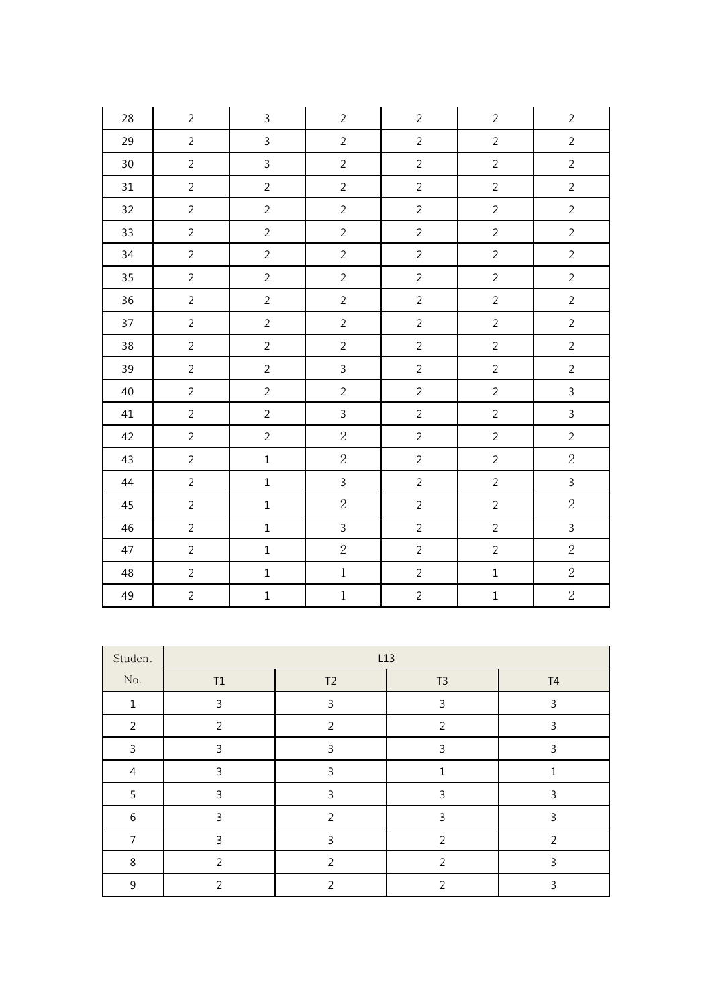| 28 | $\overline{2}$ | $\mathsf{3}$   | $\overline{2}$ | $\overline{2}$ | $\overline{2}$ | $\overline{2}$ |
|----|----------------|----------------|----------------|----------------|----------------|----------------|
| 29 | $\overline{2}$ | $\mathsf{3}$   | $\overline{2}$ | $\overline{2}$ | $\overline{2}$ | $\overline{2}$ |
| 30 | $\overline{2}$ | $\overline{3}$ | $\overline{2}$ | $\overline{2}$ | $\overline{2}$ | $\overline{2}$ |
| 31 | $\overline{2}$ | $\overline{2}$ | $\overline{2}$ | $\overline{2}$ | $\overline{2}$ | $\overline{2}$ |
| 32 | $\overline{2}$ | $\overline{2}$ | $\overline{2}$ | $\overline{2}$ | $\overline{2}$ | $\overline{2}$ |
| 33 | $\overline{2}$ | $\overline{2}$ | $\overline{2}$ | $\overline{2}$ | $\overline{2}$ | $\overline{2}$ |
| 34 | $\overline{2}$ | $\overline{2}$ | $\overline{2}$ | $\overline{2}$ | $\overline{2}$ | $\overline{2}$ |
| 35 | $\overline{2}$ | $\overline{2}$ | $\overline{2}$ | $\overline{2}$ | $\overline{2}$ | $\overline{2}$ |
| 36 | $\overline{2}$ | $\overline{2}$ | $\overline{2}$ | $\overline{2}$ | $\sqrt{2}$     | $\overline{2}$ |
| 37 | $\overline{2}$ | $\overline{2}$ | $\overline{2}$ | $\overline{2}$ | $\overline{2}$ | $\overline{2}$ |
| 38 | $\overline{2}$ | $\overline{2}$ | $\overline{2}$ | $\overline{2}$ | $\overline{2}$ | $\overline{2}$ |
| 39 | $\overline{2}$ | $\overline{2}$ | $\mathbf{3}$   | $\overline{2}$ | $\overline{2}$ | $\overline{2}$ |
| 40 | $\overline{2}$ | $\overline{2}$ | $\overline{2}$ | $\overline{2}$ | $\sqrt{2}$     | $\overline{3}$ |
| 41 | $\overline{2}$ | $\overline{2}$ | $\overline{3}$ | $\overline{2}$ | $\overline{2}$ | $\overline{3}$ |
| 42 | $\overline{2}$ | $\overline{2}$ | $\overline{2}$ | $\overline{2}$ | $\overline{2}$ | $\overline{2}$ |
| 43 | $\overline{2}$ | $\mathbf 1$    | $\overline{2}$ | $\overline{2}$ | $\overline{2}$ | $\overline{2}$ |
| 44 | $\overline{2}$ | $\mathbf 1$    | $\mathbf{3}$   | $\overline{2}$ | $\overline{2}$ | $\overline{3}$ |
| 45 | $\overline{2}$ | $\mathbf 1$    | $\sqrt{2}$     | $\overline{2}$ | $\overline{2}$ | $\overline{2}$ |
| 46 | $\overline{2}$ | $\mathbf 1$    | $\mathsf{3}$   | $\overline{2}$ | $\sqrt{2}$     | $\overline{3}$ |
| 47 | $\overline{2}$ | $\mathbf 1$    | $\overline{2}$ | $\overline{2}$ | $\overline{2}$ | $\overline{2}$ |
| 48 | $\overline{2}$ | $\mathbf 1$    | $\,1$          | $\overline{2}$ | $\mathbf 1$    | $\overline{2}$ |
| 49 | $\overline{2}$ | $\mathbf 1$    | $\,1$          | $\overline{2}$ | $\mathbf 1$    | $\overline{2}$ |

| Student        | L13            |                |                |                |  |  |  |  |  |  |
|----------------|----------------|----------------|----------------|----------------|--|--|--|--|--|--|
| No.            | $\mathsf{T1}$  | T <sub>2</sub> | T3             | T <sub>4</sub> |  |  |  |  |  |  |
| $\mathbf{1}$   | 3              | $\mathbf{3}$   | 3              | 3              |  |  |  |  |  |  |
| $\overline{2}$ | $\overline{2}$ | $\overline{2}$ | $\overline{2}$ | 3              |  |  |  |  |  |  |
| 3              | 3              | 3              | 3              | 3              |  |  |  |  |  |  |
| $\overline{4}$ | 3              | $\mathsf{3}$   | 1              | ┑              |  |  |  |  |  |  |
| 5              | 3              | $\overline{3}$ | 3              | 3              |  |  |  |  |  |  |
| 6              | 3              | $\overline{2}$ | 3              | 3              |  |  |  |  |  |  |
| 7              | 3              | $\mathsf{3}$   | $\overline{2}$ | $\overline{2}$ |  |  |  |  |  |  |
| 8              | $\overline{2}$ | $\mathcal{P}$  | 2              | 3              |  |  |  |  |  |  |
| 9              | $\mathfrak{D}$ | $\mathcal{P}$  | 2              | 3              |  |  |  |  |  |  |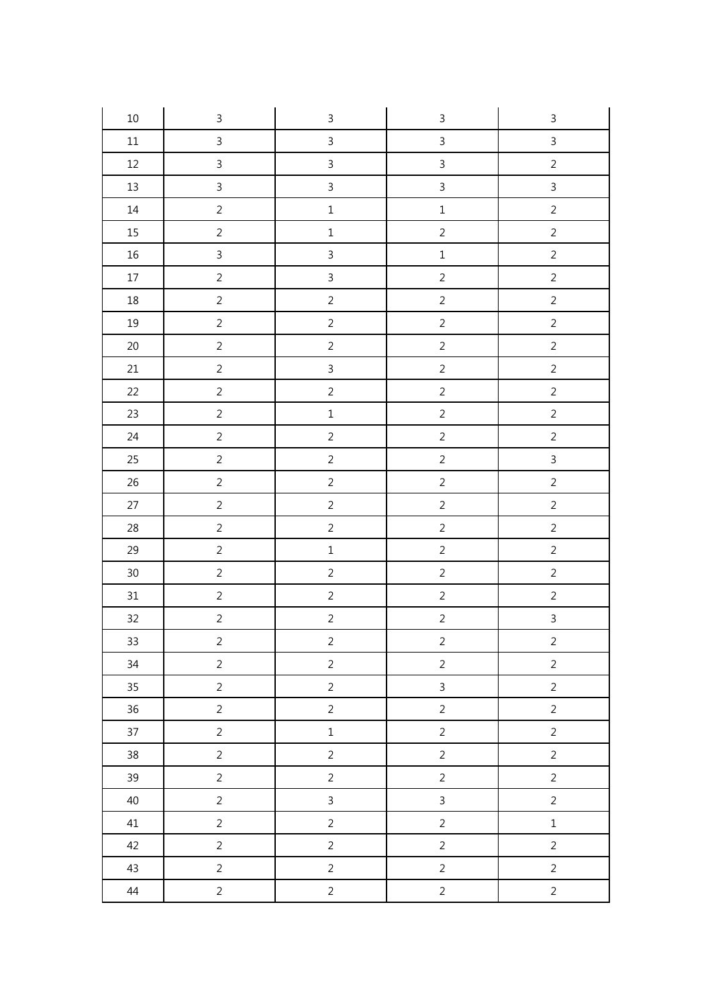| $10\,$ | $\mathsf{3}$   | $\overline{3}$ | $\mathsf{3}$   | $\ensuremath{\mathsf{3}}$ |
|--------|----------------|----------------|----------------|---------------------------|
| $11\,$ | $\overline{3}$ | $\mathbf{3}$   | $\overline{3}$ | $\overline{3}$            |
| $12\,$ | $\overline{3}$ | $\mathfrak{Z}$ | $\overline{3}$ | $\sqrt{2}$                |
| $13\,$ | $\overline{3}$ | $\overline{3}$ | $\overline{3}$ | $\overline{3}$            |
| $14\,$ | $\overline{2}$ | $\mathbf 1$    | $\mathbf 1$    | $\overline{2}$            |
| $15\,$ | $\overline{2}$ | $\mathbf 1$    | $\overline{2}$ | $\overline{2}$            |
| $16\,$ | $\overline{3}$ | $\mathsf{3}$   | $\mathbf{1}$   | $\overline{c}$            |
| $17\,$ | $\overline{2}$ | $\overline{3}$ | $\overline{c}$ | $\overline{c}$            |
| $18\,$ | $\overline{2}$ | $\sqrt{2}$     | $\overline{c}$ | $\overline{2}$            |
| $19\,$ | $\overline{2}$ | $\overline{2}$ | $\overline{2}$ | $\overline{2}$            |
| $20\,$ | $\overline{2}$ | $\overline{c}$ | $\overline{c}$ | $\overline{2}$            |
| $21\,$ | $\overline{2}$ | $\overline{3}$ | $\overline{2}$ | $\overline{2}$            |
| $22\,$ | $\overline{2}$ | $\overline{c}$ | $\overline{c}$ | $\overline{2}$            |
| 23     | $\overline{c}$ | $\mathbf 1$    | $\overline{c}$ | $\overline{c}$            |
| $24\,$ | $\overline{2}$ | $\sqrt{2}$     | $\overline{2}$ | $\overline{2}$            |
| 25     | $\overline{2}$ | $\overline{c}$ | $\overline{2}$ | $\overline{3}$            |
| $26\,$ | $\overline{2}$ | $\overline{c}$ | $\sqrt{2}$     | $\overline{2}$            |
| 27     | $\overline{2}$ | $\overline{c}$ | $\overline{2}$ | $\overline{2}$            |
| $28\,$ | $\overline{c}$ | $\overline{c}$ | $\overline{c}$ | $\overline{c}$            |
| 29     | $\overline{2}$ | $\mathbf 1$    | $\overline{c}$ | $\overline{c}$            |
| $30\,$ | $\sqrt{2}$     | $\overline{c}$ | $\overline{c}$ | $\overline{2}$            |
| 31     | $\overline{2}$ | $\overline{c}$ | $\sqrt{2}$     | $\overline{2}$            |
| 32     | $\overline{2}$ | $\overline{c}$ | $\overline{c}$ | $\overline{3}$            |
| 33     | $\overline{c}$ | $\overline{c}$ | $\overline{c}$ | $\overline{c}$            |
| 34     | $\overline{2}$ | $\overline{c}$ | $\overline{c}$ | $\overline{2}$            |
| 35     | $\overline{2}$ | $\overline{2}$ | $\overline{3}$ | $\overline{2}$            |
| $36\,$ | $\overline{2}$ | $\overline{2}$ | $\overline{2}$ | $\overline{2}$            |
| 37     | $\overline{2}$ | $\mathbf 1$    | $\overline{2}$ | $\overline{2}$            |
| $38\,$ | $\overline{2}$ | $\overline{2}$ | $\overline{2}$ | $\overline{2}$            |
| 39     | $\overline{2}$ | $\overline{2}$ | $\overline{2}$ | $\overline{2}$            |
| 40     | $\overline{2}$ | $\mathbf{3}$   | $\overline{3}$ | $\overline{2}$            |
| 41     | $\overline{2}$ | $\overline{2}$ | $\overline{2}$ | $\mathbf 1$               |
| 42     | $\overline{2}$ | $\overline{2}$ | $\overline{2}$ | $\overline{2}$            |
| 43     | $\overline{2}$ | $\overline{2}$ | $\overline{c}$ | $\overline{c}$            |
| 44     | $\overline{a}$ | $\overline{c}$ | $\overline{c}$ | $\overline{a}$            |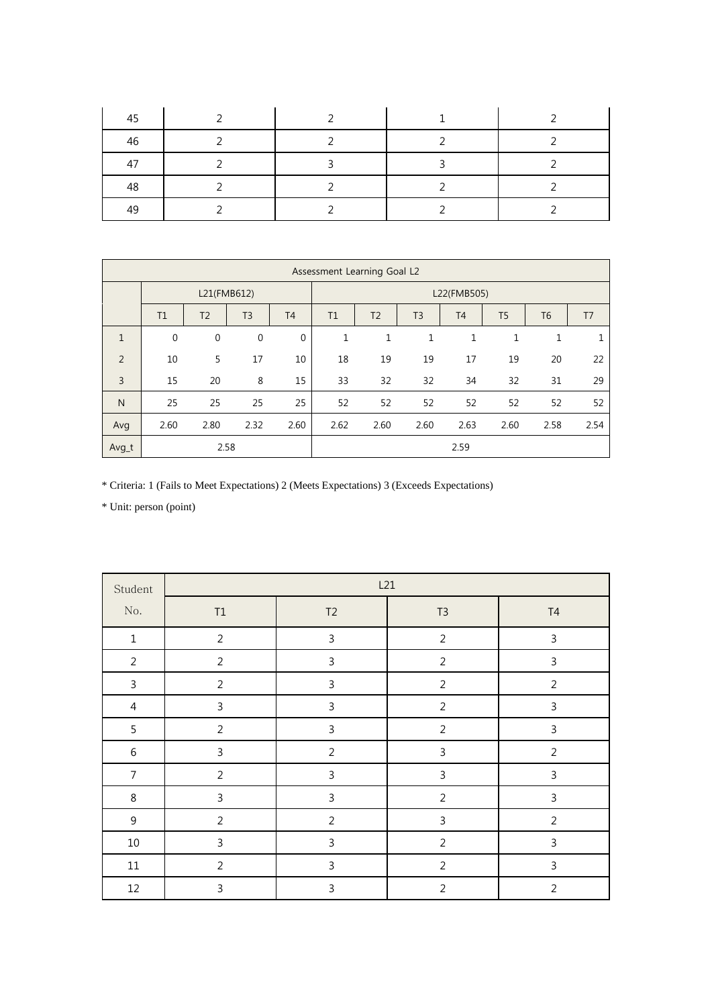| 45 |  |  |
|----|--|--|
| 46 |  |  |
| 47 |  |  |
| 48 |  |  |
| 49 |  |  |

|              |              |                |                |             |             | Assessment Learning Goal L2 |                |                |                |                |      |
|--------------|--------------|----------------|----------------|-------------|-------------|-----------------------------|----------------|----------------|----------------|----------------|------|
|              | L21(FMB612)  |                |                |             | L22(FMB505) |                             |                |                |                |                |      |
|              | T1           | T <sub>2</sub> | T <sub>3</sub> | <b>T4</b>   | T1          | T <sub>2</sub>              | T <sub>3</sub> | T <sub>4</sub> | T <sub>5</sub> | T <sub>6</sub> | T7   |
| $\mathbf{1}$ | $\mathbf{0}$ | $\mathbf 0$    | $\mathbf 0$    | $\mathbf 0$ | 1           | 1                           | 1              | $\mathbf{1}$   | 1              | $\mathbf{1}$   | 1    |
| 2            | 10           | 5              | 17             | 10          | 18          | 19                          | 19             | 17             | 19             | 20             | 22   |
| 3            | 15           | 20             | 8              | 15          | 33          | 32                          | 32             | 34             | 32             | 31             | 29   |
| $\mathsf{N}$ | 25           | 25             | 25             | 25          | 52          | 52                          | 52             | 52             | 52             | 52             | 52   |
| Avg          | 2.60         | 2.80           | 2.32           | 2.60        | 2.62        | 2.60                        | 2.60           | 2.63           | 2.60           | 2.58           | 2.54 |
| $Avg_t$      |              | 2.58           |                |             |             |                             |                | 2.59           |                |                |      |

\* Criteria: 1 (Fails to Meet Expectations) 2 (Meets Expectations) 3 (Exceeds Expectations)

| Student        |                | L21            |                |                |  |  |
|----------------|----------------|----------------|----------------|----------------|--|--|
| No.            | $\mathsf{T1}$  | T2             | T <sub>3</sub> | T <sub>4</sub> |  |  |
| $1\,$          | $\overline{2}$ | $\mathsf 3$    | $\overline{2}$ | $\mathsf{3}$   |  |  |
| $\overline{2}$ | $\overline{2}$ | $\mathsf{3}$   | $\overline{2}$ | $\mathsf{3}$   |  |  |
| $\mathbf{3}$   | $\overline{2}$ | $\mathsf 3$    | $\overline{2}$ | $\overline{2}$ |  |  |
| $\overline{4}$ | $\mathbf{3}$   | $\mathsf{3}$   | $\overline{2}$ | 3              |  |  |
| 5              | $\overline{2}$ | $\mathbf{3}$   | $\overline{2}$ | $\mathsf{3}$   |  |  |
| $\,6\,$        | $\mathbf{3}$   | $\overline{2}$ | 3              | $\overline{2}$ |  |  |
| $\overline{7}$ | $\overline{2}$ | $\mathsf{3}$   | 3              | $\mathsf{3}$   |  |  |
| $\,8\,$        | 3              | $\mathsf 3$    | $\overline{2}$ | 3              |  |  |
| $\mathsf g$    | $\overline{2}$ | $\overline{2}$ | $\mathsf{3}$   | $\overline{2}$ |  |  |
| 10             | 3              | $\mathsf 3$    | $\overline{2}$ | $\mathsf{3}$   |  |  |
| $11\,$         | $\overline{2}$ | $\mathbf{3}$   | $\overline{2}$ | 3              |  |  |
| 12             | 3              | $\mathsf{3}$   | $\overline{2}$ | $\overline{2}$ |  |  |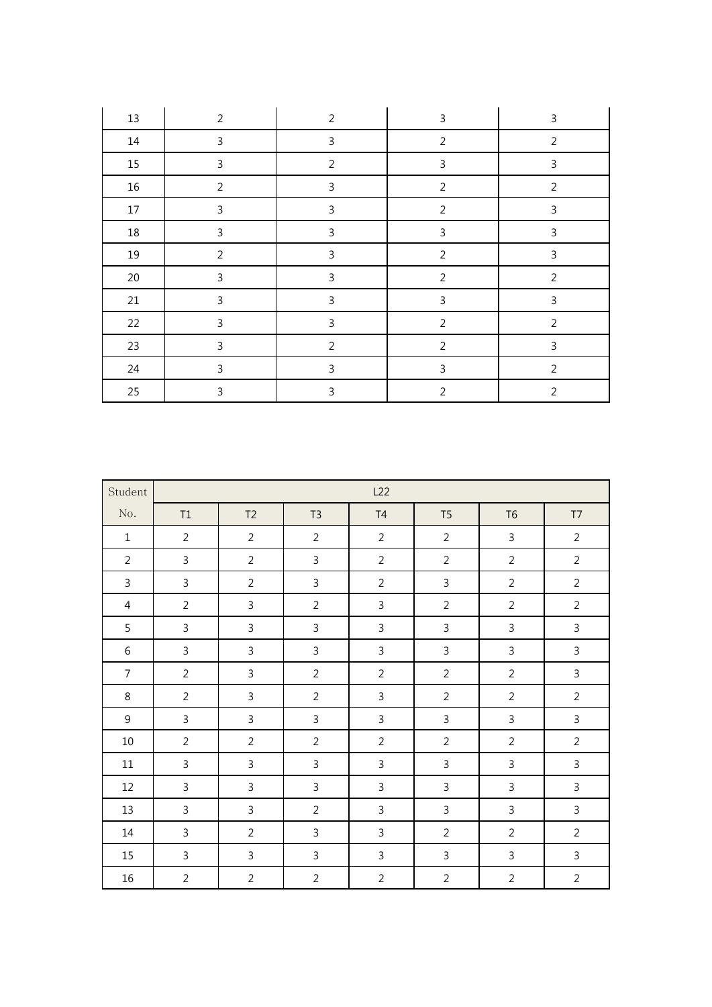| $13\,$ | $\overline{2}$ | $\overline{2}$ | 3              | 3              |
|--------|----------------|----------------|----------------|----------------|
| $14\,$ | 3              | $\mathsf 3$    | $\overline{2}$ | $\overline{2}$ |
| 15     | 3              | $\overline{2}$ | 3              | $\mathsf{3}$   |
| $16\,$ | $\overline{2}$ | $\mathsf 3$    | $\overline{2}$ | $\overline{2}$ |
| $17\,$ | 3              | $\mathsf 3$    | $\overline{2}$ | $\mathbf{3}$   |
| $18\,$ | 3              | $\mathsf 3$    | 3              | $\mathbf{3}$   |
| 19     | $\overline{2}$ | $\mathbf{3}$   | $\overline{2}$ | $\mathsf 3$    |
| 20     | 3              | $\mathsf 3$    | $\overline{2}$ | $\overline{2}$ |
| 21     | 3              | $\mathsf 3$    | 3              | $\mathbf{3}$   |
| 22     | 3              | $\mathsf 3$    | $\overline{2}$ | $\overline{2}$ |
| 23     | 3              | $\overline{2}$ | $\overline{2}$ | 3              |
| 24     | 3              | $\mathsf 3$    | 3              | $\overline{2}$ |
| 25     | 3              | $\mathbf{3}$   | $\overline{2}$ | $\overline{2}$ |

| Student        |                | L22            |                |                |                |                |                         |
|----------------|----------------|----------------|----------------|----------------|----------------|----------------|-------------------------|
| No.            | T1             | T <sub>2</sub> | T3             | T4             | T <sub>5</sub> | T <sub>6</sub> | $\mathsf{T} \mathsf{T}$ |
| $\mathbf{1}$   | $\overline{2}$ | $\overline{2}$ | $\overline{2}$ | $\overline{2}$ | $\overline{2}$ | $\mathsf{3}$   | $\overline{2}$          |
| $\overline{2}$ | $\mathsf{3}$   | $\overline{2}$ | $\mathbf{3}$   | $\overline{2}$ | $\overline{2}$ | $\overline{2}$ | $\overline{2}$          |
| 3              | $\mathsf{3}$   | $\overline{2}$ | $\mathsf{3}$   | $\overline{2}$ | 3              | $\overline{2}$ | $\overline{2}$          |
| 4              | $\overline{2}$ | 3              | $\overline{2}$ | $\mathsf{3}$   | $\overline{2}$ | $\overline{2}$ | $\overline{2}$          |
| 5              | $\overline{3}$ | $\overline{3}$ | $\mathsf{3}$   | $\overline{3}$ | 3              | 3              | $\mathsf{3}$            |
| 6              | $\overline{3}$ | $\mathsf{3}$   | $\mathsf{3}$   | $\overline{3}$ | $\overline{3}$ | $\overline{3}$ | $\mathsf{3}$            |
| $\overline{7}$ | $\overline{2}$ | $\mathsf{3}$   | $\overline{2}$ | $\overline{2}$ | $\overline{2}$ | $\overline{2}$ | $\mathsf{3}$            |
| 8              | $\overline{2}$ | $\mathbf{3}$   | $\overline{2}$ | 3              | $\overline{2}$ | $\overline{2}$ | $\overline{2}$          |
| 9              | $\mathbf{3}$   | $\mathbf{3}$   | $\mathbf{3}$   | $\mathbf{3}$   | 3              | $\mathsf 3$    | $\mathsf{3}$            |
| $10\,$         | $\overline{2}$ | $\overline{2}$ | $\overline{2}$ | $\overline{2}$ | $\overline{2}$ | $\overline{2}$ | $\overline{2}$          |
| $11\,$         | $\mathsf{3}$   | $\mathsf{3}$   | $\mathsf{3}$   | 3              | 3              | $\mathsf{3}$   | $\mathsf{3}$            |
| 12             | $\mathbf{3}$   | $\mathsf{3}$   | $\mathbf{3}$   | $\mathsf{3}$   | $\mathsf{3}$   | $\mathsf{3}$   | $\mathsf{3}$            |
| 13             | $\mathsf{3}$   | $\mathsf{3}$   | $\overline{2}$ | $\overline{3}$ | $\mathsf{3}$   | $\overline{3}$ | $\mathsf{3}$            |
| $14$           | $\overline{3}$ | $\overline{2}$ | $\overline{3}$ | $\mathsf{3}$   | $\overline{2}$ | $\overline{2}$ | $\overline{2}$          |
| 15             | $\overline{3}$ | $\mathsf{3}$   | $\overline{3}$ | $\mathsf{3}$   | $\mathsf{3}$   | 3              | $\overline{3}$          |
| 16             | $\overline{2}$ | $\overline{2}$ | $\overline{2}$ | $\overline{2}$ | $\overline{2}$ | $\overline{2}$ | $\overline{2}$          |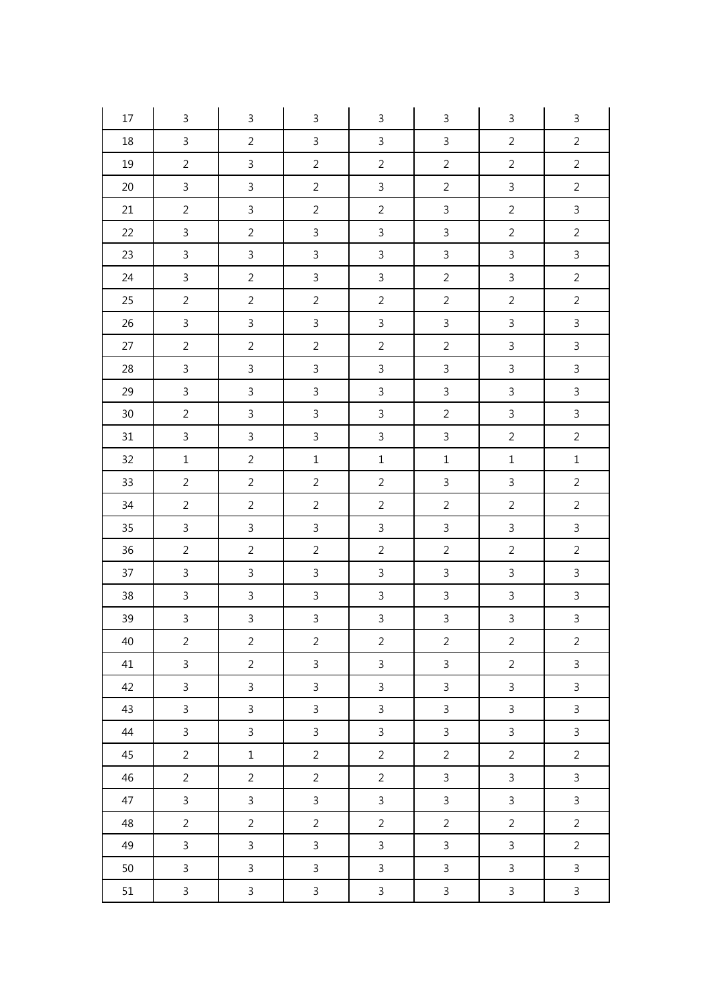| 17     | $\mathbf{3}$   | $\mathsf{3}$   | $\mathsf{3}$   | 3              | $\mathbf{3}$   | $\mathsf 3$    | $\mathsf 3$    |
|--------|----------------|----------------|----------------|----------------|----------------|----------------|----------------|
| 18     | $\mathbf{3}$   | $\overline{2}$ | $\mathbf{3}$   | $\mathsf{3}$   | $\mathbf{3}$   | $\overline{2}$ | $\overline{2}$ |
| 19     | $\overline{2}$ | $\mathbf{3}$   | $\overline{2}$ | $\overline{2}$ | $\overline{2}$ | $\overline{2}$ | $\overline{2}$ |
| 20     | $\mathsf{3}$   | $\overline{3}$ | $\overline{2}$ | $\mathsf{3}$   | $\overline{2}$ | $\mathsf{3}$   | $\overline{2}$ |
| 21     | $\overline{2}$ | $\overline{3}$ | $\overline{2}$ | $\overline{2}$ | $\mathbf{3}$   | $\overline{2}$ | $\mathsf{3}$   |
| 22     | $\mathbf{3}$   | $\overline{2}$ | $\mathbf{3}$   | $\mathbf{3}$   | $\mathbf{3}$   | $\overline{2}$ | $\overline{2}$ |
| 23     | $\mathbf{3}$   | $\mathbf{3}$   | $\mathbf{3}$   | $\mathsf{3}$   | $\mathsf{3}$   | $\mathsf 3$    | $\mathbf{3}$   |
| 24     | $\mathsf{3}$   | $\overline{2}$ | $\mathsf{3}$   | $\mathsf{3}$   | $\overline{2}$ | $\mathbf{3}$   | $\overline{2}$ |
| 25     | $\overline{2}$ | $\overline{2}$ | $\overline{2}$ | $\overline{2}$ | $\overline{2}$ | $\overline{2}$ | $\overline{2}$ |
| 26     | $\mathsf{3}$   | $\mathbf{3}$   | $\mathbf{3}$   | $\mathsf{3}$   | $\mathsf{3}$   | $\mathsf{3}$   | $\mathsf{3}$   |
| 27     | $\overline{2}$ | $\overline{2}$ | $\overline{2}$ | $\overline{2}$ | $\overline{2}$ | $\overline{3}$ | $\mathbf{3}$   |
| 28     | $\mathbf{3}$   | $\mathbf{3}$   | $\mathbf{3}$   | $\mathbf{3}$   | $\overline{3}$ | $\mathsf{3}$   | $\mathbf{3}$   |
| 29     | $\mathbf{3}$   | $\overline{3}$ | $\mathbf{3}$   | $\mathsf{3}$   | $\mathsf{3}$   | $\mathsf{3}$   | $\mathsf{3}$   |
| $30\,$ | $\overline{2}$ | $\mathbf{3}$   | $\mathbf{3}$   | $\mathsf{3}$   | $\overline{2}$ | $\mathsf 3$    | $\mathbf{3}$   |
| 31     | $\mathbf{3}$   | $\mathbf{3}$   | $\mathbf{3}$   | $\mathsf{3}$   | $\mathsf{3}$   | $\overline{2}$ | $\overline{2}$ |
| 32     | $\mathbf 1$    | $\overline{a}$ | $\mathbf 1$    | $\mathbf 1$    | $\mathbf 1$    | $\mathbf 1$    | $\mathbf 1$    |
| 33     | $\overline{2}$ | $\overline{2}$ | $\overline{2}$ | $\overline{2}$ | $\overline{3}$ | $\overline{3}$ | $\overline{2}$ |
| 34     | $\overline{2}$ | $\overline{2}$ | $\overline{2}$ | $\overline{2}$ | $\overline{2}$ | $\overline{2}$ | $\overline{c}$ |
| 35     | $\mathsf{3}$   | $\mathbf{3}$   | $\mathbf{3}$   | $\mathbf{3}$   | $\mathsf{3}$   | $\mathsf 3$    | $\mathsf{3}$   |
| $36\,$ | $\overline{2}$ | $\overline{2}$ | $\overline{2}$ | $\overline{2}$ | $\overline{2}$ | $\overline{2}$ | $\overline{2}$ |
| 37     | $\mathsf{3}$   | $\mathbf{3}$   | $\mathsf{3}$   | $\mathbf{3}$   | $\mathsf{3}$   | $\mathsf 3$    | $\mathbf{3}$   |
| 38     | $\mathsf{3}$   | $\mathbf{3}$   | $\mathbf{3}$   | $\mathbf{3}$   | $\mathsf{3}$   | $\mathsf{3}$   | $\mathbf{3}$   |
| 39     | $\mathsf{3}$   | $\overline{3}$ | $\mathsf{3}$   | $\overline{3}$ | $\mathbf{3}$   | $\overline{3}$ | $\mathbf{3}$   |
| 40     | $\overline{2}$ | $\overline{a}$ | $\overline{2}$ | $\overline{2}$ | $\overline{a}$ | $\overline{a}$ | $\overline{a}$ |
| 41     | $\mathsf{3}$   | $\overline{2}$ | $\mathsf{3}$   | $\mathbf{3}$   | $\mathbf{3}$   | $\overline{2}$ | $\mathsf{3}$   |
| 42     | $\mathbf{3}$   | $\overline{3}$ | $\mathsf{3}$   | $\mathbf{3}$   | $\mathsf{3}$   | $\mathsf{3}$   | $\mathsf{3}$   |
| 43     | $\mathbf{3}$   | $\mathbf{3}$   | $\mathsf{3}$   | $\mathsf{3}$   | $\mathbf{3}$   | $\mathbf{3}$   | $\mathbf{3}$   |
| 44     | $\mathbf{3}$   | $\overline{3}$ | $\mathbf{3}$   | $\mathbf{3}$   | $\mathbf{3}$   | $\mathsf{3}$   | $\mathbf{3}$   |
| 45     | $\overline{2}$ | $\mathbf 1$    | $\overline{2}$ | $\overline{2}$ | $\overline{2}$ | $\overline{2}$ | $\overline{2}$ |
| 46     | $\overline{2}$ | $\overline{2}$ | $\overline{2}$ | $\overline{2}$ | $\mathbf{3}$   | $\mathbf{3}$   | $\mathbf{3}$   |
| 47     | $\mathbf{3}$   | $\overline{3}$ | $\mathbf{3}$   | $\mathbf{3}$   | $\mathsf{3}$   | $\mathsf{3}$   | $\mathbf{3}$   |
| 48     | $\overline{2}$ | $\overline{a}$ | $\overline{2}$ | $\overline{2}$ | $\overline{2}$ | $\sqrt{2}$     | $\mathbf 2$    |
| 49     | $\mathbf{3}$   | $\mathbf{3}$   | $\mathbf{3}$   | $\mathbf{3}$   | $\mathbf{3}$   | $\mathsf{3}$   | $\overline{a}$ |
| 50     | $\mathsf{3}$   | $\overline{3}$ | $\mathsf{3}$   | $\overline{3}$ | $\mathsf{3}$   | $\overline{3}$ | $\overline{3}$ |
| 51     | $\mathbf{3}$   | $\mathbf{3}$   | $\mathsf{3}$   | $\mathbf{3}$   | $\mathbf{3}$   | $\mathsf{3}$   | $\mathbf{3}$   |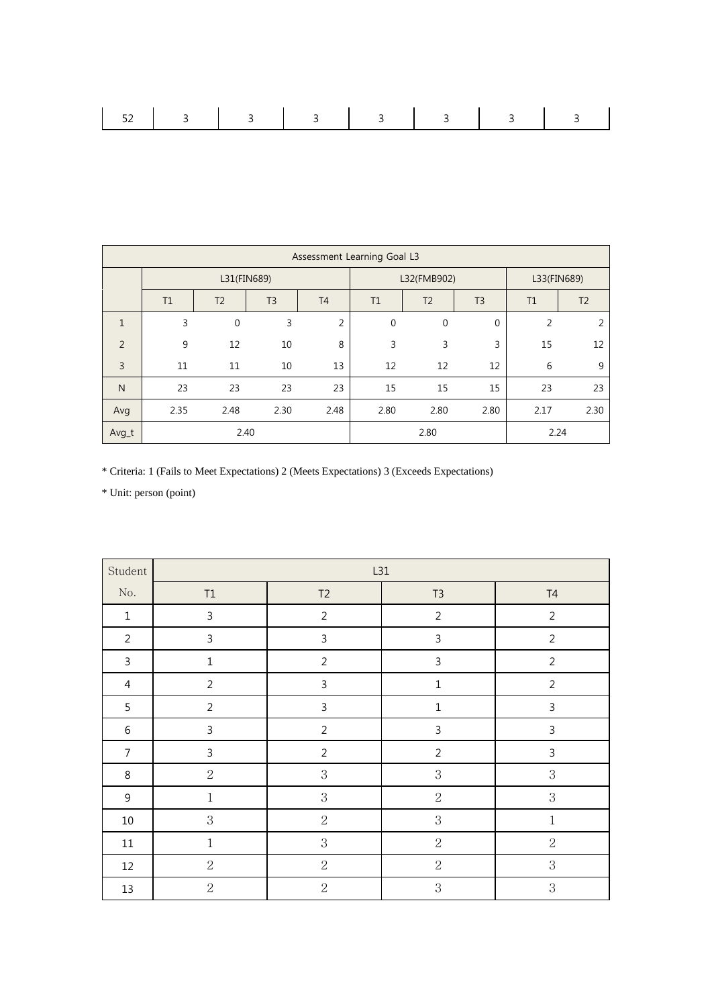|--|

|                |             |                |                |                | Assessment Learning Goal L3 |                |                |                |                |
|----------------|-------------|----------------|----------------|----------------|-----------------------------|----------------|----------------|----------------|----------------|
|                | L31(FIN689) |                |                | L32(FMB902)    |                             |                | L33(FIN689)    |                |                |
|                | T1          | T <sub>2</sub> | T <sub>3</sub> | T <sub>4</sub> | T1                          | T <sub>2</sub> | T <sub>3</sub> | T1             | T <sub>2</sub> |
| $\mathbf{1}$   | 3           | 0              | 3              | 2              | $\mathbf 0$                 | 0              | 0              | $\overline{2}$ | $\overline{2}$ |
| $\overline{2}$ | 9           | 12             | 10             | 8              | 3                           | 3              | 3              | 15             | 12             |
| $\overline{3}$ | 11          | 11             | 10             | 13             | 12                          | 12             | 12             | 6              | 9              |
| $\mathsf{N}$   | 23          | 23             | 23             | 23             | 15                          | 15             | 15             | 23             | 23             |
| Avg            | 2.35        | 2.48           | 2.30           | 2.48           | 2.80                        | 2.80           | 2.80           | 2.17           | 2.30           |
| Avg_t          |             |                | 2.40           |                |                             | 2.80           |                | 2.24           |                |

\* Criteria: 1 (Fails to Meet Expectations) 2 (Meets Expectations) 3 (Exceeds Expectations)

| Student          |                | L31            |                |                |  |  |
|------------------|----------------|----------------|----------------|----------------|--|--|
| $\rm No.$        | $\mathsf{T1}$  | T2             | T3             | $\mathsf{T}4$  |  |  |
| $\,1\,$          | $\mathsf{3}$   | $\overline{2}$ | $\overline{2}$ | $\overline{2}$ |  |  |
| $\overline{2}$   | $\mathbf{3}$   | $\mathsf{3}$   | $\mathsf 3$    | $\overline{2}$ |  |  |
| $\mathbf{3}$     | $\mathbf 1$    | $\overline{2}$ | $\mathsf 3$    | $\overline{2}$ |  |  |
| $\overline{4}$   | $\overline{2}$ | $\mathsf{3}$   | $\mathbf 1$    | $\overline{2}$ |  |  |
| 5                | $\overline{2}$ | 3              | $\mathbf 1$    | $\mathsf{3}$   |  |  |
| $\,6\,$          | $\mathsf{3}$   | $\overline{2}$ | $\mathsf 3$    | $\mathsf 3$    |  |  |
| $\overline{7}$   | $\mathbf{3}$   | $\overline{2}$ | $\overline{2}$ | $\mathsf{3}$   |  |  |
| $\,8\,$          | $\sqrt{2}$     | $\,3$          | $\,3$          | 3              |  |  |
| $\boldsymbol{9}$ | $1\,$          | 3              | $\sqrt{2}$     | 3              |  |  |
| $10\,$           | $\mathbf 3$    | $\sqrt{2}$     | $\,3$          | $\,1$          |  |  |
| $11\,$           | $\,1$          | 3              | $\sqrt{2}$     | $\sqrt{2}$     |  |  |
| 12               | $\sqrt{2}$     | $\overline{2}$ | $\sqrt{2}$     | 3              |  |  |
| 13               | $\sqrt{2}$     | $\overline{2}$ | $\,3$          | $\,3$          |  |  |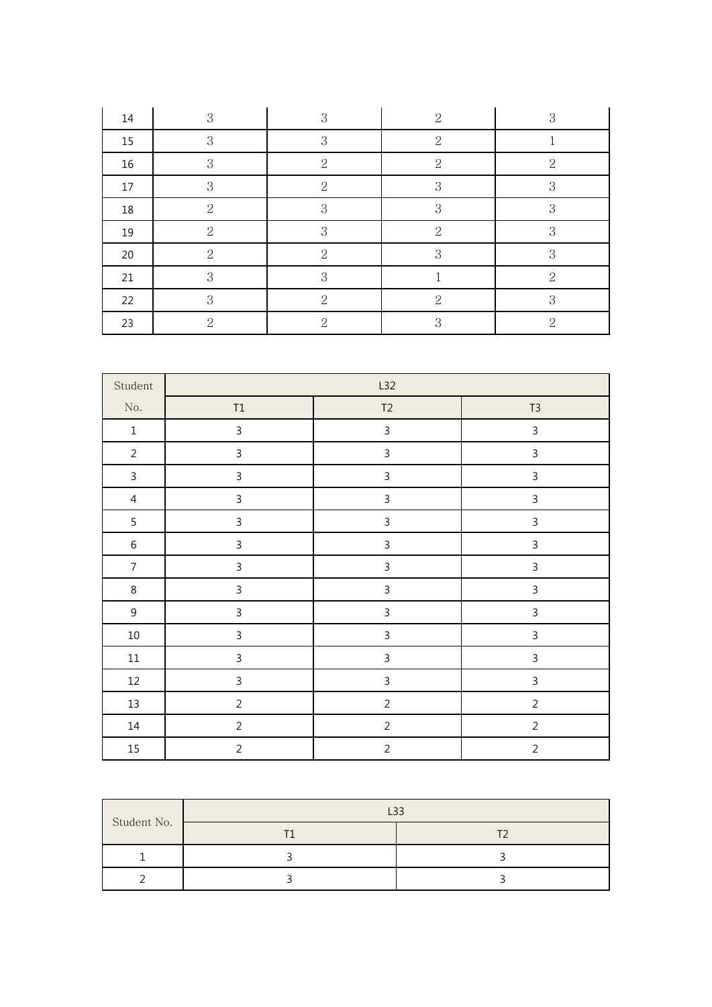| 14     | $\mathbf{3}$   | 3                           | $\overline{2}$ | 3              |
|--------|----------------|-----------------------------|----------------|----------------|
| 15     | $\mathbf{3}$   | 3                           | $\overline{2}$ |                |
| 16     | 3              | $\overline{2}$              | $\overline{2}$ | $\overline{2}$ |
| 17     | $\mathbf{3}$   | $\mathbf{2}$                | 3              | 3              |
| $18\,$ | $\mathbf{2}$   | 3                           | 3              | 3              |
| 19     | $\overline{2}$ | 3                           | $\overline{2}$ | 3              |
| 20     | $\overline{2}$ | $\mathcal{D}_{\mathcal{L}}$ | 3              | 3              |
| 21     | $\mathbf{3}$   | 3                           |                | $\overline{2}$ |
| 22     | 3              | 2                           | $\overline{2}$ | 3              |
| 23     | 2              | $\mathcal{P}$               | 3              | 2              |

| Student        | L32            |                |                |  |  |
|----------------|----------------|----------------|----------------|--|--|
| $\rm No.$      | $\mathsf{T1}$  | T <sub>2</sub> | T <sub>3</sub> |  |  |
| $\,1\,$        | $\mathsf 3$    | $\mathsf 3$    | $\mathbf{3}$   |  |  |
| $\overline{2}$ | $\mathsf{3}$   | $\mathsf 3$    | $\mathsf{3}$   |  |  |
| $\mathsf{3}$   | $\mathsf{3}$   | $\mathbf{3}$   | $\mathsf{3}$   |  |  |
| $\overline{4}$ | $\mathbf{3}$   | $\mathbf{3}$   | $\mathsf{3}$   |  |  |
| 5              | $\mathsf{3}$   | $\mathsf{3}$   | $\mathsf{3}$   |  |  |
| $\,6\,$        | $\mathsf{3}$   | $\mathsf 3$    | $\mathsf{3}$   |  |  |
| $\overline{7}$ | $\mathsf{3}$   | $\mathsf 3$    | $\mathbf{3}$   |  |  |
| $\,8\,$        | $\mathsf{3}$   | $\mathsf{3}$   | $\mathsf{3}$   |  |  |
| $9\,$          | $\mathsf 3$    | $\mathsf 3$    | $\mathbf{3}$   |  |  |
| $10\,$         | $\mathsf{3}$   | $\mathsf 3$    | $\mathbf{3}$   |  |  |
| $11\,$         | $\mathsf{3}$   | $\overline{3}$ | $\mathsf{3}$   |  |  |
| 12             | $\mathsf 3$    | $\mathsf 3$    | $\mathbf{3}$   |  |  |
| 13             | $\overline{2}$ | $\overline{2}$ | $\overline{2}$ |  |  |
| $14\,$         | $\overline{2}$ | $\sqrt{2}$     | $\overline{2}$ |  |  |
| $15\,$         | $\sqrt{2}$     | $\sqrt{2}$     | $\sqrt{2}$     |  |  |

|             | $-32$ |
|-------------|-------|
| Student No. |       |
|             |       |
|             |       |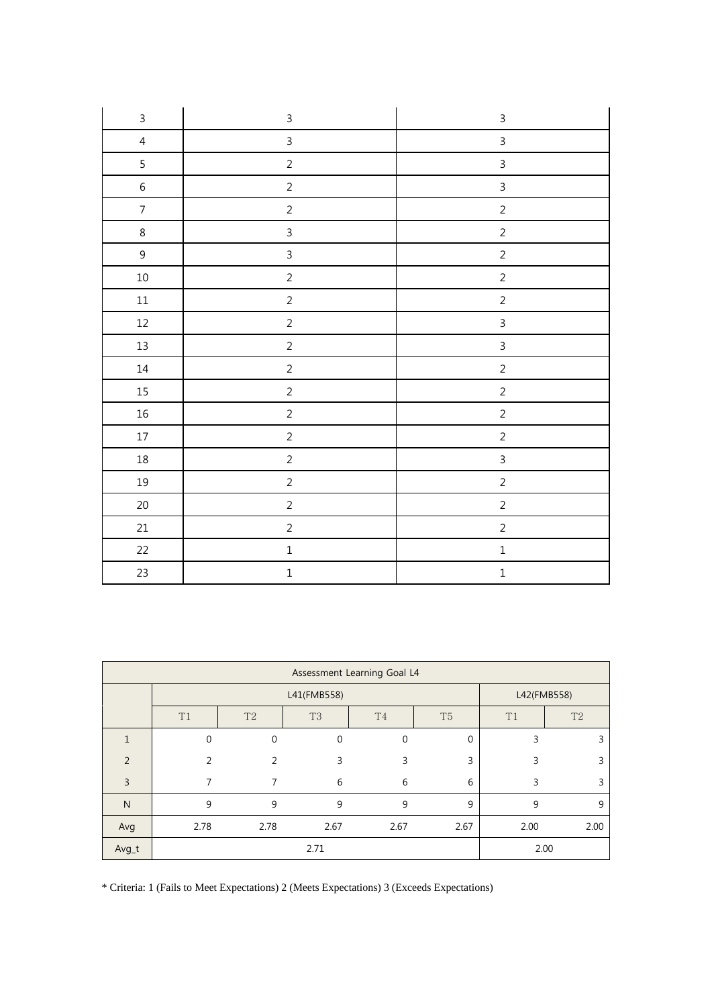| $\mathsf{3}$   | $\mathsf 3$    | $\mathsf{3}$   |
|----------------|----------------|----------------|
| $\overline{4}$ | $\overline{3}$ | $\overline{3}$ |
| $\overline{5}$ | $\sqrt{2}$     | $\overline{3}$ |
| $\sqrt{6}$     | $\overline{2}$ | $\overline{3}$ |
| $\overline{7}$ | $\overline{2}$ | $\overline{2}$ |
| $\,8\,$        | $\overline{3}$ | $\overline{2}$ |
| $\overline{9}$ | $\mathsf{3}$   | $\overline{c}$ |
| $10\,$         | $\sqrt{2}$     | $\overline{2}$ |
| $11\,$         | $\overline{2}$ | $\overline{2}$ |
| 12             | $\overline{2}$ | $\overline{3}$ |
| $13\,$         | $\overline{c}$ | $\overline{3}$ |
| $14\,$         | $\sqrt{2}$     | $\overline{2}$ |
| $15\,$         | $\overline{2}$ | $\overline{2}$ |
| $16\,$         | $\overline{2}$ | $\overline{2}$ |
| 17             | $\overline{2}$ | $\overline{2}$ |
| $18\,$         | $\sqrt{2}$     | $\overline{3}$ |
| 19             | $\overline{c}$ | $\overline{c}$ |
| $20\,$         | $\overline{2}$ | $\overline{2}$ |
| $21\,$         | $\overline{2}$ | $\overline{2}$ |
| $22\,$         | $\mathbf 1$    | $\mathbf 1$    |
| 23             | $\mathbf 1$    | $\mathbf 1$    |

| Assessment Learning Goal L4 |             |                |                |                |                |      |                |
|-----------------------------|-------------|----------------|----------------|----------------|----------------|------|----------------|
|                             | L41(FMB558) |                |                |                | L42(FMB558)    |      |                |
|                             | T1          | T <sub>2</sub> | T <sub>3</sub> | T <sub>4</sub> | T <sub>5</sub> | T1   | T <sub>2</sub> |
|                             | $\Omega$    | $\mathbf 0$    | $\Omega$       | $\Omega$       | $\mathbf{0}$   | 3    | 3              |
| $\overline{2}$              | 2           | $\overline{2}$ | 3              | 3              | 3              | 3    | 3              |
| 3                           | 7           | 7              | 6              | 6              | 6              | 3    | 3              |
| N                           | 9           | 9              | 9              | 9              | 9              | 9    | 9              |
| Avg                         | 2.78        | 2.78           | 2.67           | 2.67           | 2.67           | 2.00 | 2.00           |
| Avg_t                       | 2.71        |                |                | 2.00           |                |      |                |

\* Criteria: 1 (Fails to Meet Expectations) 2 (Meets Expectations) 3 (Exceeds Expectations)